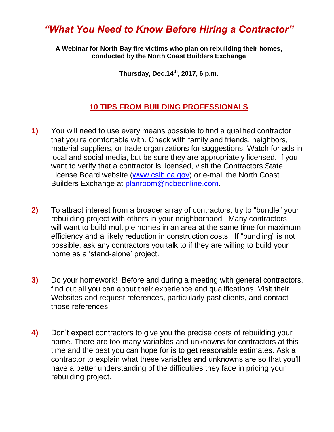## *"What You Need to Know Before Hiring a Contractor"*

**A Webinar for North Bay fire victims who plan on rebuilding their homes, conducted by the North Coast Builders Exchange**

**Thursday, Dec.14th, 2017, 6 p.m.**

## **10 TIPS FROM BUILDING PROFESSIONALS**

- **1)** You will need to use every means possible to find a qualified contractor that you're comfortable with. Check with family and friends, neighbors, material suppliers, or trade organizations for suggestions. Watch for ads in local and social media, but be sure they are appropriately licensed. If you want to verify that a contractor is licensed, visit the Contractors State License Board website [\(www.cslb.ca.gov\)](http://www.cslb.ca.gov/) or e-mail the North Coast Builders Exchange at [planroom@ncbeonline.com.](mailto:planroom@ncbeonline.com)
- **2)** To attract interest from a broader array of contractors, try to "bundle" your rebuilding project with others in your neighborhood. Many contractors will want to build multiple homes in an area at the same time for maximum efficiency and a likely reduction in construction costs. If "bundling" is not possible, ask any contractors you talk to if they are willing to build your home as a 'stand-alone' project.
- **3)** Do your homework! Before and during a meeting with general contractors, find out all you can about their experience and qualifications. Visit their Websites and request references, particularly past clients, and contact those references.
- **4)** Don't expect contractors to give you the precise costs of rebuilding your home. There are too many variables and unknowns for contractors at this time and the best you can hope for is to get reasonable estimates. Ask a contractor to explain what these variables and unknowns are so that you'll have a better understanding of the difficulties they face in pricing your rebuilding project.